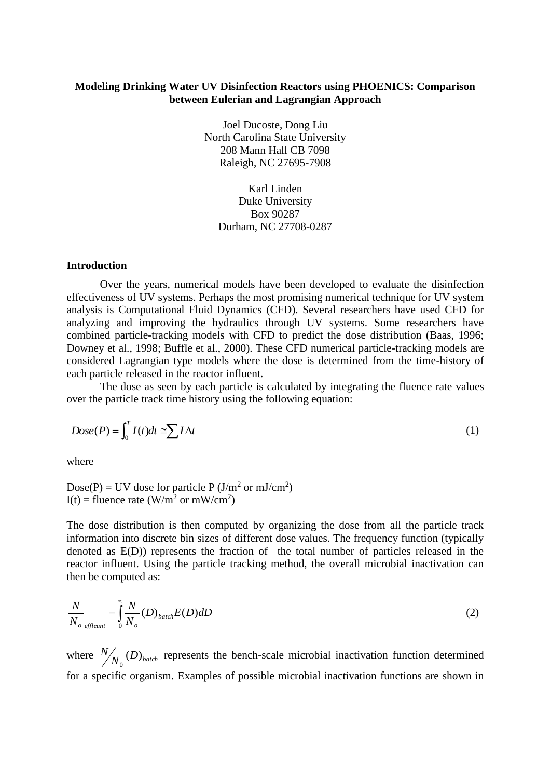# **Modeling Drinking Water UV Disinfection Reactors using PHOENICS: Comparison between Eulerian and Lagrangian Approach**

Joel Ducoste, Dong Liu North Carolina State University 208 Mann Hall CB 7098 Raleigh, NC 27695-7908

Karl Linden Duke University Box 90287 Durham, NC 27708-0287

## **Introduction**

Over the years, numerical models have been developed to evaluate the disinfection effectiveness of UV systems. Perhaps the most promising numerical technique for UV system analysis is Computational Fluid Dynamics (CFD). Several researchers have used CFD for analyzing and improving the hydraulics through UV systems. Some researchers have combined particle-tracking models with CFD to predict the dose distribution (Baas, 1996; Downey et al., 1998; Buffle et al., 2000). These CFD numerical particle-tracking models are considered Lagrangian type models where the dose is determined from the time-history of each particle released in the reactor influent.

The dose as seen by each particle is calculated by integrating the fluence rate values over the particle track time history using the following equation:

$$
Dose(P) = \int_0^T I(t)dt \cong \sum I \Delta t \tag{1}
$$

where

Dose(P) = UV dose for particle P ( $J/m<sup>2</sup>$  or mJ/cm<sup>2</sup>) I(t) = fluence rate (W/m<sup>2</sup> or mW/cm<sup>2</sup>)

The dose distribution is then computed by organizing the dose from all the particle track information into discrete bin sizes of different dose values. The frequency function (typically denoted as E(D)) represents the fraction of the total number of particles released in the reactor influent. Using the particle tracking method, the overall microbial inactivation can then be computed as:

$$
\frac{N}{N_o} = \int_{\text{effleunt}}^{\infty} \frac{N}{N_o} (D)_{batch} E(D) dD \tag{2}
$$

where  $\frac{N}{N_0}$  (D)<sub>batch</sub> 0 represents the bench-scale microbial inactivation function determined for a specific organism. Examples of possible microbial inactivation functions are shown in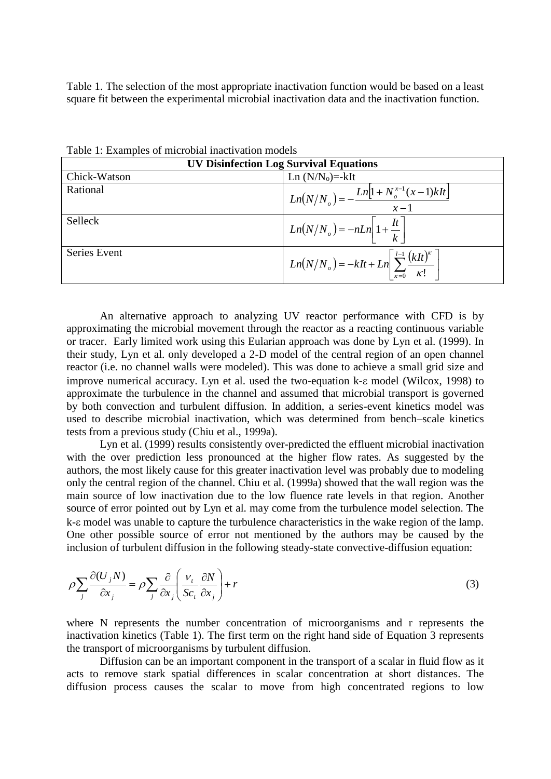Table 1. The selection of the most appropriate inactivation function would be based on a least square fit between the experimental microbial inactivation data and the inactivation function.

| <b>UV Disinfection Log Survival Equations</b> |                                                                                                            |  |  |  |  |
|-----------------------------------------------|------------------------------------------------------------------------------------------------------------|--|--|--|--|
| Chick-Watson                                  | Ln $(N/N_0)$ =-kIt                                                                                         |  |  |  |  |
| Rational                                      | $Ln(N/No) = -\frac{Ln[1 + Nox-1(x-1)kIt]}{x-1}$                                                            |  |  |  |  |
| Selleck                                       | $\left  L_n(N/N_o) = -nLn \right  1 + \frac{It}{k}$                                                        |  |  |  |  |
| Series Event                                  | $\left  Ln(N/N_o) = -kIt + Ln \left  \sum_{\kappa=0}^{l-1} \frac{(kIt)^{\kappa}}{\kappa!} \right  \right $ |  |  |  |  |

Table 1: Examples of microbial inactivation models

An alternative approach to analyzing UV reactor performance with CFD is by approximating the microbial movement through the reactor as a reacting continuous variable or tracer. Early limited work using this Eularian approach was done by Lyn et al. (1999). In their study, Lyn et al. only developed a 2-D model of the central region of an open channel reactor (i.e. no channel walls were modeled). This was done to achieve a small grid size and improve numerical accuracy. Lyn et al. used the two-equation  $k$ - $\varepsilon$  model (Wilcox, 1998) to approximate the turbulence in the channel and assumed that microbial transport is governed by both convection and turbulent diffusion. In addition, a series-event kinetics model was used to describe microbial inactivation, which was determined from bench–scale kinetics tests from a previous study (Chiu et al., 1999a).

Lyn et al. (1999) results consistently over-predicted the effluent microbial inactivation with the over prediction less pronounced at the higher flow rates. As suggested by the authors, the most likely cause for this greater inactivation level was probably due to modeling only the central region of the channel. Chiu et al. (1999a) showed that the wall region was the main source of low inactivation due to the low fluence rate levels in that region. Another source of error pointed out by Lyn et al. may come from the turbulence model selection. The k- $\varepsilon$  model was unable to capture the turbulence characteristics in the wake region of the lamp. One other possible source of error not mentioned by the authors may be caused by the inclusion of turbulent diffusion in the following steady-state convective-diffusion equation:

$$
\rho \sum_{j} \frac{\partial (U_j N)}{\partial x_j} = \rho \sum_{j} \frac{\partial}{\partial x_j} \left( \frac{V_t}{Sc_t} \frac{\partial N}{\partial x_j} \right) + r \tag{3}
$$

where N represents the number concentration of microorganisms and r represents the inactivation kinetics (Table 1). The first term on the right hand side of Equation 3 represents the transport of microorganisms by turbulent diffusion.

Diffusion can be an important component in the transport of a scalar in fluid flow as it acts to remove stark spatial differences in scalar concentration at short distances. The diffusion process causes the scalar to move from high concentrated regions to low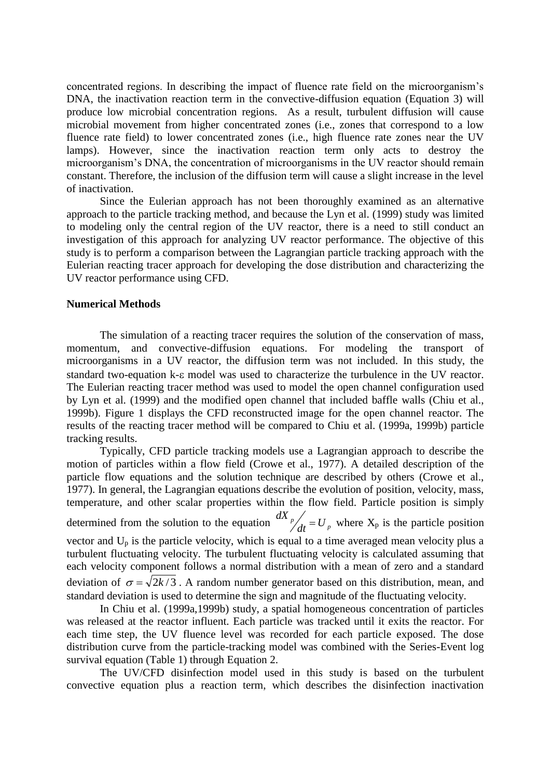concentrated regions. In describing the impact of fluence rate field on the microorganism's DNA, the inactivation reaction term in the convective-diffusion equation (Equation 3) will produce low microbial concentration regions. As a result, turbulent diffusion will cause microbial movement from higher concentrated zones (i.e., zones that correspond to a low fluence rate field) to lower concentrated zones (i.e., high fluence rate zones near the UV lamps). However, since the inactivation reaction term only acts to destroy the microorganism's DNA, the concentration of microorganisms in the UV reactor should remain constant. Therefore, the inclusion of the diffusion term will cause a slight increase in the level of inactivation.

Since the Eulerian approach has not been thoroughly examined as an alternative approach to the particle tracking method, and because the Lyn et al. (1999) study was limited to modeling only the central region of the UV reactor, there is a need to still conduct an investigation of this approach for analyzing UV reactor performance. The objective of this study is to perform a comparison between the Lagrangian particle tracking approach with the Eulerian reacting tracer approach for developing the dose distribution and characterizing the UV reactor performance using CFD.

#### **Numerical Methods**

The simulation of a reacting tracer requires the solution of the conservation of mass, momentum, and convective-diffusion equations. For modeling the transport of microorganisms in a UV reactor, the diffusion term was not included. In this study, the standard two-equation  $k$ - $\varepsilon$  model was used to characterize the turbulence in the UV reactor. The Eulerian reacting tracer method was used to model the open channel configuration used by Lyn et al. (1999) and the modified open channel that included baffle walls (Chiu et al., 1999b). Figure 1 displays the CFD reconstructed image for the open channel reactor. The results of the reacting tracer method will be compared to Chiu et al. (1999a, 1999b) particle tracking results.

Typically, CFD particle tracking models use a Lagrangian approach to describe the motion of particles within a flow field (Crowe et al., 1977). A detailed description of the particle flow equations and the solution technique are described by others (Crowe et al., 1977). In general, the Lagrangian equations describe the evolution of position, velocity, mass, temperature, and other scalar properties within the flow field. Particle position is simply determined from the solution to the equation  $\frac{dX_p}{dt} = U_p$ , where  $X_p$  is the particle position vector and  $U_p$  is the particle velocity, which is equal to a time averaged mean velocity plus a turbulent fluctuating velocity. The turbulent fluctuating velocity is calculated assuming that each velocity component follows a normal distribution with a mean of zero and a standard deviation of  $\sigma = \sqrt{2k/3}$ . A random number generator based on this distribution, mean, and standard deviation is used to determine the sign and magnitude of the fluctuating velocity.

In Chiu et al. (1999a,1999b) study, a spatial homogeneous concentration of particles was released at the reactor influent. Each particle was tracked until it exits the reactor. For each time step, the UV fluence level was recorded for each particle exposed. The dose distribution curve from the particle-tracking model was combined with the Series-Event log survival equation (Table 1) through Equation 2.

The UV/CFD disinfection model used in this study is based on the turbulent convective equation plus a reaction term, which describes the disinfection inactivation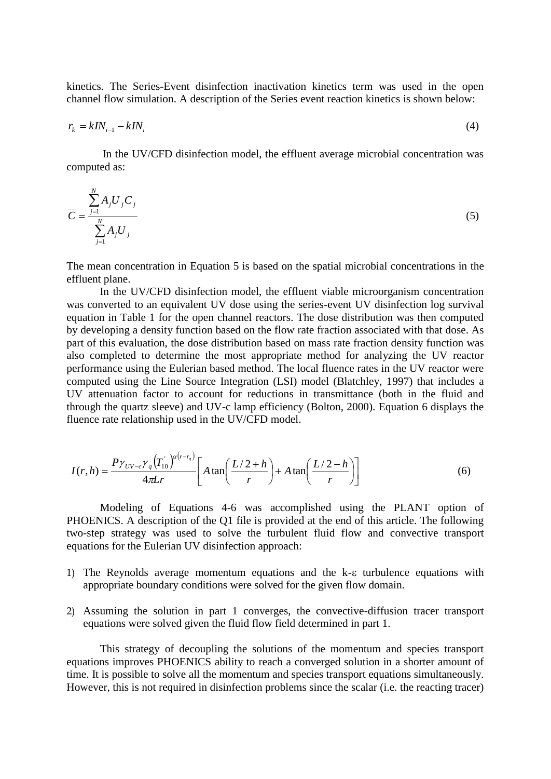kinetics. The Series-Event disinfection inactivation kinetics term was used in the open channel flow simulation. A description of the Series event reaction kinetics is shown below:

$$
r_k = kI N_{i-1} - kI N_i \tag{4}
$$

In the UV/CFD disinfection model, the effluent average microbial concentration was computed as:

$$
\overline{C} = \frac{\sum_{j=1}^{N} A_j U_j C_j}{\sum_{j=1}^{N} A_j U_j}
$$
\n
$$
(5)
$$

The mean concentration in Equation 5 is based on the spatial microbial concentrations in the effluent plane.

In the UV/CFD disinfection model, the effluent viable microorganism concentration was converted to an equivalent UV dose using the series-event UV disinfection log survival equation in Table 1 for the open channel reactors. The dose distribution was then computed by developing a density function based on the flow rate fraction associated with that dose. As part of this evaluation, the dose distribution based on mass rate fraction density function was also completed to determine the most appropriate method for analyzing the UV reactor performance using the Eulerian based method. The local fluence rates in the UV reactor were computed using the Line Source Integration (LSI) model (Blatchley, 1997) that includes a UV attenuation factor to account for reductions in transmittance (both in the fluid and through the quartz sleeve) and UV-c lamp efficiency (Bolton, 2000). Equation 6 displays the fluence rate relationship used in the UV/CFD model.

$$
I(r,h) = \frac{P\gamma_{UV-c}\gamma_q(T_0)}{4\pi Lr} \left[ A\tan\left(\frac{L/2+h}{r}\right) + A\tan\left(\frac{L/2-h}{r}\right) \right]
$$
(6)

Modeling of Equations 4-6 was accomplished using the PLANT option of PHOENICS. A description of the Q1 file is provided at the end of this article. The following two-step strategy was used to solve the turbulent fluid flow and convective transport equations for the Eulerian UV disinfection approach:

- 1) The Reynolds average momentum equations and the  $k-\epsilon$  turbulence equations with appropriate boundary conditions were solved for the given flow domain.
- 2) Assuming the solution in part 1 converges, the convective-diffusion tracer transport equations were solved given the fluid flow field determined in part 1.

This strategy of decoupling the solutions of the momentum and species transport equations improves PHOENICS ability to reach a converged solution in a shorter amount of time. It is possible to solve all the momentum and species transport equations simultaneously. However, this is not required in disinfection problems since the scalar (i.e. the reacting tracer)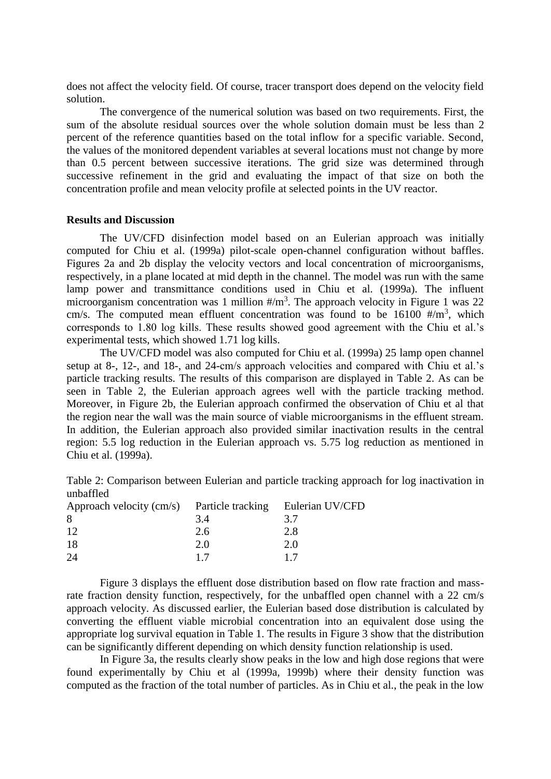does not affect the velocity field. Of course, tracer transport does depend on the velocity field solution.

The convergence of the numerical solution was based on two requirements. First, the sum of the absolute residual sources over the whole solution domain must be less than 2 percent of the reference quantities based on the total inflow for a specific variable. Second, the values of the monitored dependent variables at several locations must not change by more than 0.5 percent between successive iterations. The grid size was determined through successive refinement in the grid and evaluating the impact of that size on both the concentration profile and mean velocity profile at selected points in the UV reactor.

## **Results and Discussion**

The UV/CFD disinfection model based on an Eulerian approach was initially computed for Chiu et al. (1999a) pilot-scale open-channel configuration without baffles. Figures 2a and 2b display the velocity vectors and local concentration of microorganisms, respectively, in a plane located at mid depth in the channel. The model was run with the same lamp power and transmittance conditions used in Chiu et al. (1999a). The influent microorganism concentration was 1 million  $\frac{m^3}{m^3}$ . The approach velocity in Figure 1 was 22 cm/s. The computed mean effluent concentration was found to be  $16100$  #/m<sup>3</sup>, which corresponds to 1.80 log kills. These results showed good agreement with the Chiu et al.'s experimental tests, which showed 1.71 log kills.

The UV/CFD model was also computed for Chiu et al. (1999a) 25 lamp open channel setup at 8-, 12-, and 18-, and 24-cm/s approach velocities and compared with Chiu et al.'s particle tracking results. The results of this comparison are displayed in Table 2. As can be seen in Table 2, the Eulerian approach agrees well with the particle tracking method. Moreover, in Figure 2b, the Eulerian approach confirmed the observation of Chiu et al that the region near the wall was the main source of viable microorganisms in the effluent stream. In addition, the Eulerian approach also provided similar inactivation results in the central region: 5.5 log reduction in the Eulerian approach vs. 5.75 log reduction as mentioned in Chiu et al. (1999a).

Table 2: Comparison between Eulerian and particle tracking approach for log inactivation in unbaffled

| Approach velocity $\langle cm/s \rangle$ |     | Particle tracking Eulerian UV/CFD |
|------------------------------------------|-----|-----------------------------------|
| 8                                        | 3.4 | 3.7                               |
| 12                                       | 2.6 | 2.8                               |
| -18                                      | 2.0 | 2.0                               |
| 24                                       | 17  | 17                                |

Figure 3 displays the effluent dose distribution based on flow rate fraction and massrate fraction density function, respectively, for the unbaffled open channel with a 22 cm/s approach velocity. As discussed earlier, the Eulerian based dose distribution is calculated by converting the effluent viable microbial concentration into an equivalent dose using the appropriate log survival equation in Table 1. The results in Figure 3 show that the distribution can be significantly different depending on which density function relationship is used.

In Figure 3a, the results clearly show peaks in the low and high dose regions that were found experimentally by Chiu et al (1999a, 1999b) where their density function was computed as the fraction of the total number of particles. As in Chiu et al., the peak in the low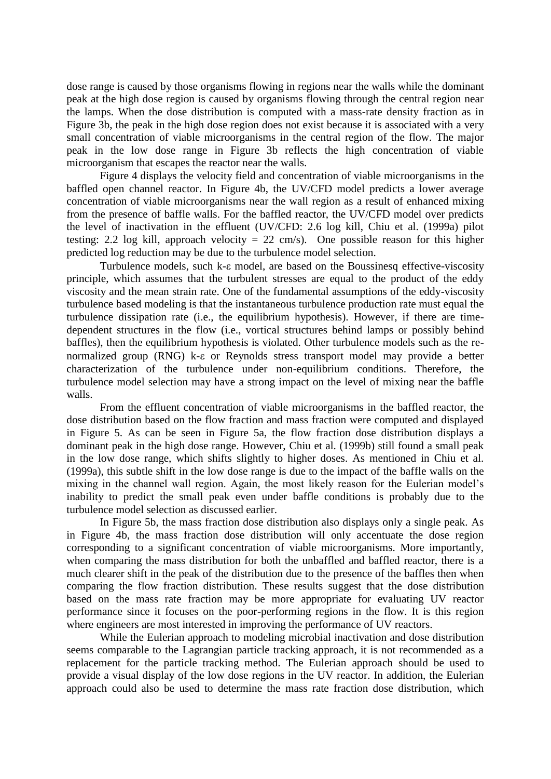dose range is caused by those organisms flowing in regions near the walls while the dominant peak at the high dose region is caused by organisms flowing through the central region near the lamps. When the dose distribution is computed with a mass-rate density fraction as in Figure 3b, the peak in the high dose region does not exist because it is associated with a very small concentration of viable microorganisms in the central region of the flow. The major peak in the low dose range in Figure 3b reflects the high concentration of viable microorganism that escapes the reactor near the walls.

Figure 4 displays the velocity field and concentration of viable microorganisms in the baffled open channel reactor. In Figure 4b, the UV/CFD model predicts a lower average concentration of viable microorganisms near the wall region as a result of enhanced mixing from the presence of baffle walls. For the baffled reactor, the UV/CFD model over predicts the level of inactivation in the effluent (UV/CFD: 2.6 log kill, Chiu et al. (1999a) pilot testing: 2.2 log kill, approach velocity = 22 cm/s). One possible reason for this higher predicted log reduction may be due to the turbulence model selection.

Turbulence models, such  $k$ - $\varepsilon$  model, are based on the Boussinesq effective-viscosity principle, which assumes that the turbulent stresses are equal to the product of the eddy viscosity and the mean strain rate. One of the fundamental assumptions of the eddy-viscosity turbulence based modeling is that the instantaneous turbulence production rate must equal the turbulence dissipation rate (i.e., the equilibrium hypothesis). However, if there are timedependent structures in the flow (i.e., vortical structures behind lamps or possibly behind baffles), then the equilibrium hypothesis is violated. Other turbulence models such as the renormalized group  $(RNG)$  k- $\varepsilon$  or Reynolds stress transport model may provide a better characterization of the turbulence under non-equilibrium conditions. Therefore, the turbulence model selection may have a strong impact on the level of mixing near the baffle walls.

From the effluent concentration of viable microorganisms in the baffled reactor, the dose distribution based on the flow fraction and mass fraction were computed and displayed in Figure 5. As can be seen in Figure 5a, the flow fraction dose distribution displays a dominant peak in the high dose range. However, Chiu et al. (1999b) still found a small peak in the low dose range, which shifts slightly to higher doses. As mentioned in Chiu et al. (1999a), this subtle shift in the low dose range is due to the impact of the baffle walls on the mixing in the channel wall region. Again, the most likely reason for the Eulerian model's inability to predict the small peak even under baffle conditions is probably due to the turbulence model selection as discussed earlier.

In Figure 5b, the mass fraction dose distribution also displays only a single peak. As in Figure 4b, the mass fraction dose distribution will only accentuate the dose region corresponding to a significant concentration of viable microorganisms. More importantly, when comparing the mass distribution for both the unbaffled and baffled reactor, there is a much clearer shift in the peak of the distribution due to the presence of the baffles then when comparing the flow fraction distribution. These results suggest that the dose distribution based on the mass rate fraction may be more appropriate for evaluating UV reactor performance since it focuses on the poor-performing regions in the flow. It is this region where engineers are most interested in improving the performance of UV reactors.

While the Eulerian approach to modeling microbial inactivation and dose distribution seems comparable to the Lagrangian particle tracking approach, it is not recommended as a replacement for the particle tracking method. The Eulerian approach should be used to provide a visual display of the low dose regions in the UV reactor. In addition, the Eulerian approach could also be used to determine the mass rate fraction dose distribution, which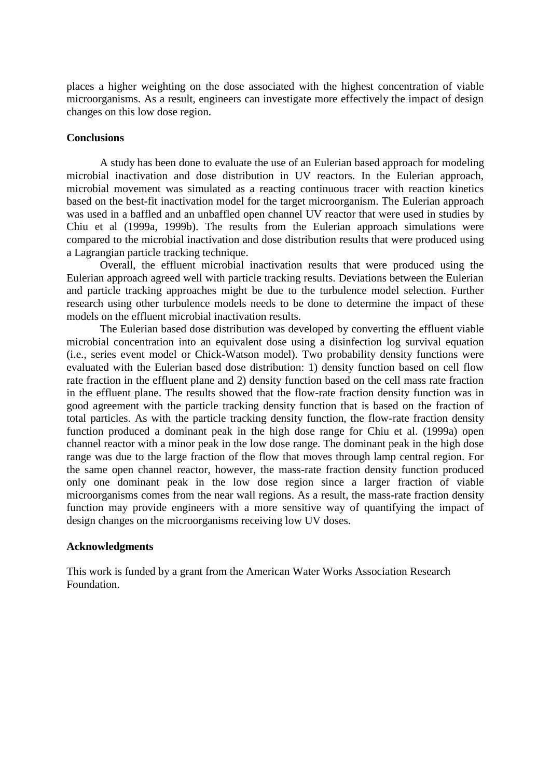places a higher weighting on the dose associated with the highest concentration of viable microorganisms. As a result, engineers can investigate more effectively the impact of design changes on this low dose region.

# **Conclusions**

A study has been done to evaluate the use of an Eulerian based approach for modeling microbial inactivation and dose distribution in UV reactors. In the Eulerian approach, microbial movement was simulated as a reacting continuous tracer with reaction kinetics based on the best-fit inactivation model for the target microorganism. The Eulerian approach was used in a baffled and an unbaffled open channel UV reactor that were used in studies by Chiu et al (1999a, 1999b). The results from the Eulerian approach simulations were compared to the microbial inactivation and dose distribution results that were produced using a Lagrangian particle tracking technique.

Overall, the effluent microbial inactivation results that were produced using the Eulerian approach agreed well with particle tracking results. Deviations between the Eulerian and particle tracking approaches might be due to the turbulence model selection. Further research using other turbulence models needs to be done to determine the impact of these models on the effluent microbial inactivation results.

The Eulerian based dose distribution was developed by converting the effluent viable microbial concentration into an equivalent dose using a disinfection log survival equation (i.e., series event model or Chick-Watson model). Two probability density functions were evaluated with the Eulerian based dose distribution: 1) density function based on cell flow rate fraction in the effluent plane and 2) density function based on the cell mass rate fraction in the effluent plane. The results showed that the flow-rate fraction density function was in good agreement with the particle tracking density function that is based on the fraction of total particles. As with the particle tracking density function, the flow-rate fraction density function produced a dominant peak in the high dose range for Chiu et al. (1999a) open channel reactor with a minor peak in the low dose range. The dominant peak in the high dose range was due to the large fraction of the flow that moves through lamp central region. For the same open channel reactor, however, the mass-rate fraction density function produced only one dominant peak in the low dose region since a larger fraction of viable microorganisms comes from the near wall regions. As a result, the mass-rate fraction density function may provide engineers with a more sensitive way of quantifying the impact of design changes on the microorganisms receiving low UV doses.

### **Acknowledgments**

This work is funded by a grant from the American Water Works Association Research Foundation.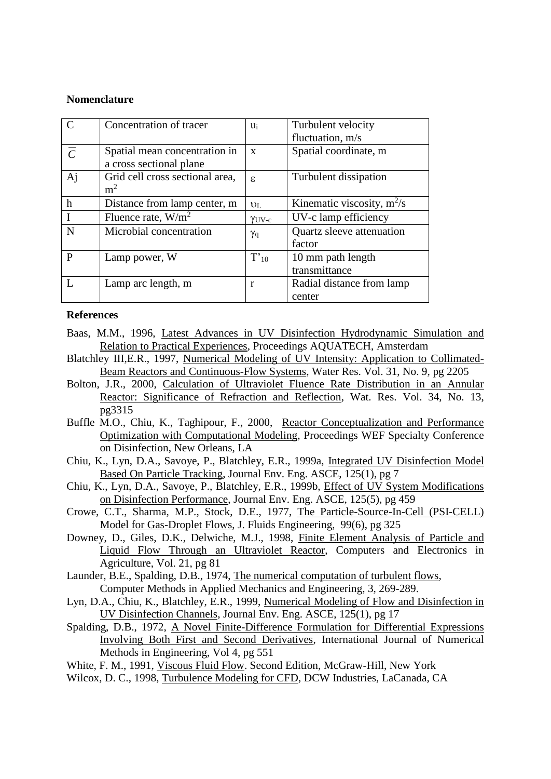### **Nomenclature**

| $\overline{C}$ | Concentration of tracer         | $u_i$           | Turbulent velocity           |
|----------------|---------------------------------|-----------------|------------------------------|
|                |                                 |                 | fluctuation, m/s             |
| $\overline{C}$ | Spatial mean concentration in   | $\mathbf{x}$    | Spatial coordinate, m        |
|                | a cross sectional plane         |                 |                              |
| Aj             | Grid cell cross sectional area, | ε.              | Turbulent dissipation        |
|                | m <sup>2</sup>                  |                 |                              |
| $\mathbf h$    | Distance from lamp center, m    | U <sub>L</sub>  | Kinematic viscosity, $m^2/s$ |
| $\mathbf I$    | Fluence rate, $W/m^2$           | $\gamma_{UV-c}$ | UV-c lamp efficiency         |
| $\mathbf N$    | Microbial concentration         | $\gamma_{q}$    | Quartz sleeve attenuation    |
|                |                                 |                 | factor                       |
| P              | Lamp power, W                   | $T'_{10}$       | 10 mm path length            |
|                |                                 |                 | transmittance                |
|                | Lamp arc length, m              | r               | Radial distance from lamp    |
|                |                                 |                 | center                       |

## **References**

- Baas, M.M., 1996, Latest Advances in UV Disinfection Hydrodynamic Simulation and Relation to Practical Experiences, Proceedings AQUATECH, Amsterdam
- Blatchley III,E.R., 1997, Numerical Modeling of UV Intensity: Application to Collimated-Beam Reactors and Continuous-Flow Systems, Water Res. Vol. 31, No. 9, pg 2205
- Bolton, J.R., 2000, Calculation of Ultraviolet Fluence Rate Distribution in an Annular Reactor: Significance of Refraction and Reflection, Wat. Res. Vol. 34, No. 13, pg3315
- Buffle M.O., Chiu, K., Taghipour, F., 2000, Reactor Conceptualization and Performance Optimization with Computational Modeling, Proceedings WEF Specialty Conference on Disinfection, New Orleans, LA
- Chiu, K., Lyn, D.A., Savoye, P., Blatchley, E.R., 1999a, Integrated UV Disinfection Model Based On Particle Tracking, Journal Env. Eng. ASCE, 125(1), pg 7
- Chiu, K., Lyn, D.A., Savoye, P., Blatchley, E.R., 1999b, Effect of UV System Modifications on Disinfection Performance, Journal Env. Eng. ASCE, 125(5), pg 459
- Crowe, C.T., Sharma, M.P., Stock, D.E., 1977, The Particle-Source-In-Cell (PSI-CELL) Model for Gas-Droplet Flows, J. Fluids Engineering, 99(6), pg 325
- Downey, D., Giles, D.K., Delwiche, M.J., 1998, Finite Element Analysis of Particle and Liquid Flow Through an Ultraviolet Reactor, Computers and Electronics in Agriculture, Vol. 21, pg 81
- Launder, B.E., Spalding, D.B., 1974, The numerical computation of turbulent flows, Computer Methods in Applied Mechanics and Engineering, 3, 269-289.
- Lyn, D.A., Chiu, K., Blatchley, E.R., 1999, Numerical Modeling of Flow and Disinfection in UV Disinfection Channels, Journal Env. Eng. ASCE, 125(1), pg 17
- Spalding, D.B., 1972, A Novel Finite-Difference Formulation for Differential Expressions Involving Both First and Second Derivatives, International Journal of Numerical Methods in Engineering, Vol 4, pg 551
- White, F. M., 1991, Viscous Fluid Flow. Second Edition, McGraw-Hill, New York
- Wilcox, D. C., 1998, Turbulence Modeling for CFD, DCW Industries, LaCanada, CA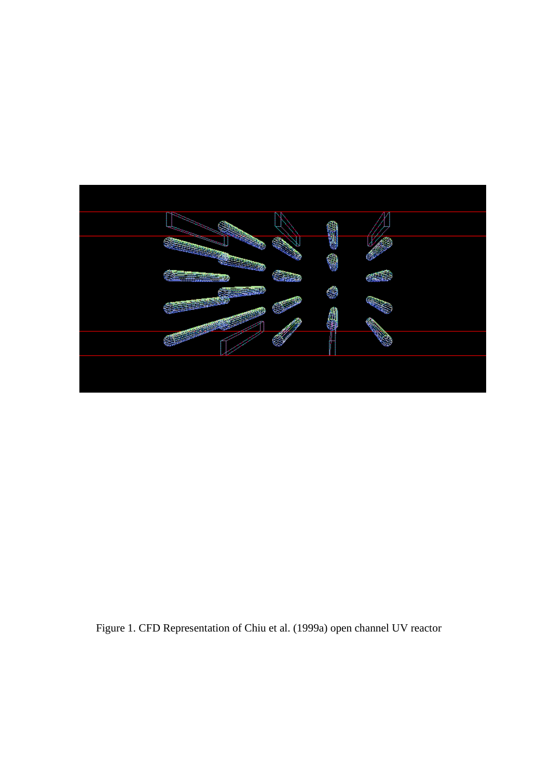

Figure 1. CFD Representation of Chiu et al. (1999a) open channel UV reactor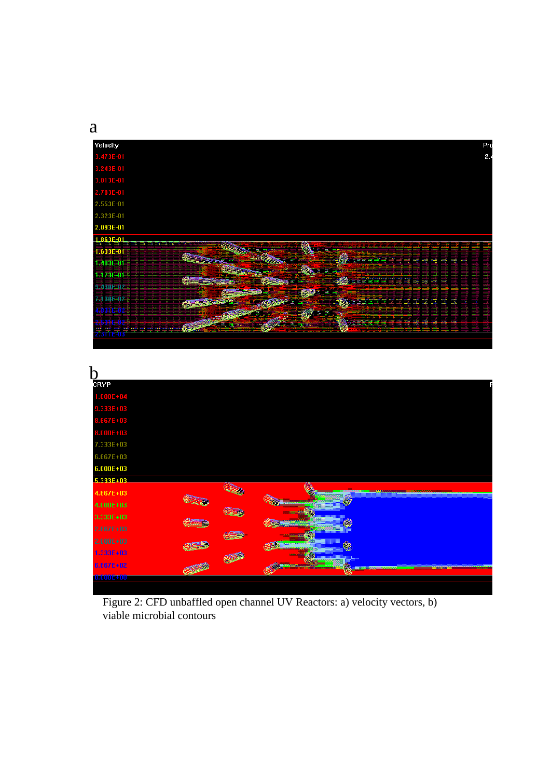a

| Velocity                                           |         |                                  |                               |                |                            |                     | Pro                |
|----------------------------------------------------|---------|----------------------------------|-------------------------------|----------------|----------------------------|---------------------|--------------------|
| 3.473E-01                                          |         |                                  |                               |                |                            |                     | 2.4                |
| 3.243E-01                                          |         |                                  |                               |                |                            |                     |                    |
| 3.013E-01                                          |         |                                  |                               |                |                            |                     |                    |
| 2.783E-01                                          |         |                                  |                               |                |                            |                     |                    |
| 2.553E-01                                          |         |                                  |                               |                |                            |                     |                    |
| 2.323E-01                                          |         |                                  |                               |                |                            |                     |                    |
| 2.093E-01                                          |         |                                  |                               |                |                            |                     |                    |
| 1.863F-01<br><u>me and my my my my my my my my</u> |         |                                  |                               |                |                            |                     |                    |
| <b>1-633E-01</b>                                   |         |                                  | <b>Change of the Contract</b> |                |                            |                     |                    |
| 1.403E-01                                          |         | ÷                                |                               |                | <u>TETES SE SE E E E E</u> |                     |                    |
| 1.173E-01                                          | 姜       | ٠                                | ٠                             | Serrere eeuw s |                            |                     |                    |
| 9.430E-02                                          |         |                                  | المستقلة<br>е                 |                |                            |                     |                    |
| 7.130E-02                                          |         |                                  | <b>Grati</b>                  | كتحميد         |                            | = = =<br><b>EXC</b> | 13.32<br><b>AM</b> |
| 89 H W H                                           |         |                                  | <b>Allene</b>                 |                |                            |                     |                    |
| i i n                                              | Easy of | <b><i>ANGEL AND THE SHOP</i></b> |                               | WORTH TH       | -----                      | <b>COLOR</b>        |                    |
| TTEUS                                              |         |                                  |                               |                |                            |                     |                    |

| CRYP              |           |                               |                      |
|-------------------|-----------|-------------------------------|----------------------|
| $1.000E + 04$     |           |                               |                      |
| 9.333E+03         |           |                               |                      |
| 8.667E+03         |           |                               |                      |
| 8.000E+03         |           |                               |                      |
| 7.333E+03         |           |                               |                      |
| 6.667E+03         |           |                               |                      |
| $6.000E + 03$     |           |                               |                      |
| 5.333E+03         |           |                               |                      |
| 4.667E+03         |           |                               |                      |
| $4.000E + 03$     |           |                               |                      |
| 3.333E+03         |           |                               |                      |
| $2.667E + 03$     |           |                               |                      |
| $2.000E + 03$     |           |                               |                      |
| 1.333E+03         |           |                               |                      |
| 6.667E+02         | Maccococo | <b>WARRANTEED FOR THE 200</b> | ____________________ |
| <b>TOROTOCHOO</b> |           |                               |                      |
|                   |           |                               |                      |

Figure 2: CFD unbaffled open channel UV Reactors: a) velocity vectors, b) viable microbial contours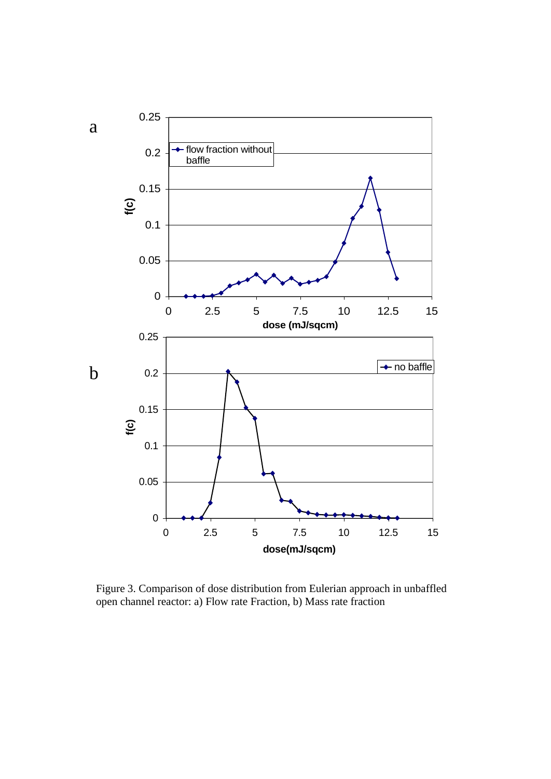

Figure 3. Comparison of dose distribution from Eulerian approach in unbaffled open channel reactor: a) Flow rate Fraction, b) Mass rate fraction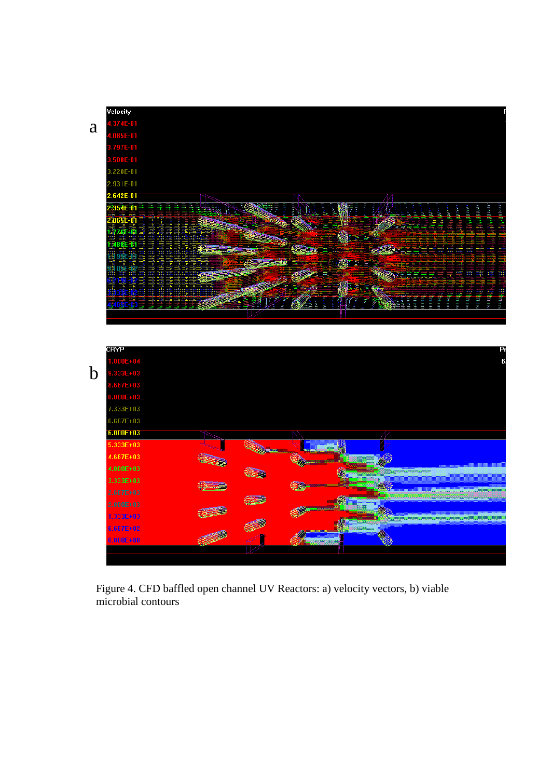|             | Velocity                     |                |   |                 |                  |         |                                                                     |
|-------------|------------------------------|----------------|---|-----------------|------------------|---------|---------------------------------------------------------------------|
|             | .374E-01                     |                |   |                 |                  |         |                                                                     |
| a           | $.085E-01$                   |                |   |                 |                  |         |                                                                     |
|             | 3.797E-01                    |                |   |                 |                  |         |                                                                     |
|             | $.508E-01$                   |                |   |                 |                  |         |                                                                     |
|             | 3.220E-01                    |                |   |                 |                  |         |                                                                     |
|             | 2.931E-01                    |                |   |                 |                  |         |                                                                     |
|             | 2.642E-01                    |                |   |                 | М                |         |                                                                     |
|             | 354E 01                      |                |   |                 |                  |         |                                                                     |
|             | 65E-01                       |                |   |                 |                  |         | <b>Controller State</b><br><b>STANDARD BEE</b><br><b>CONTRACTOR</b> |
|             | E<br>礁礁<br>ş<br>B<br>E<br>œ. |                |   |                 |                  | 罵<br>E. |                                                                     |
|             | 488E O                       |                |   | <b>New</b>      |                  |         |                                                                     |
|             | 9Ä                           |                | e |                 | <b>MARKETING</b> |         | <b>THE REAL PROPERTY OF A REAL</b>                                  |
|             | 垂動型<br>Ę                     |                |   | IT-             |                  |         |                                                                     |
|             |                              |                |   |                 | SOF              |         | EXSIDE<br>H                                                         |
|             |                              |                |   | <b>ALCOHOL:</b> |                  |         |                                                                     |
|             |                              |                |   |                 |                  |         | Ē                                                                   |
|             |                              |                |   |                 |                  |         |                                                                     |
|             |                              |                |   |                 |                  |         |                                                                     |
|             | CRYP<br>$.000E + 04$         |                |   |                 |                  |         |                                                                     |
| $\mathbf b$ | 333E+03<br>$.667E + 03$      |                |   |                 |                  |         |                                                                     |
|             |                              |                |   |                 |                  |         |                                                                     |
|             | 8.000E+03                    |                |   |                 |                  |         |                                                                     |
|             | 7.333E+03                    |                |   |                 |                  |         |                                                                     |
|             | 6.667E+03                    |                |   |                 |                  |         |                                                                     |
|             | $6.000E + 03$                |                |   |                 | M                |         |                                                                     |
|             | 5.333E+03                    | <b>Company</b> |   |                 |                  |         |                                                                     |
|             | 4.667E+03                    |                |   |                 |                  |         |                                                                     |
|             | 4.000E+03                    |                |   |                 |                  |         |                                                                     |
|             | 3.333E+03                    |                |   |                 |                  |         |                                                                     |
|             | 2.667E+03                    |                |   | é.              |                  |         |                                                                     |
|             | $2.000E + 03$                |                |   |                 |                  |         |                                                                     |
|             | $1.333E + 03$                |                |   |                 |                  |         |                                                                     |
|             | 6.667E+02                    |                |   |                 |                  |         |                                                                     |
|             | $0.000E + 00$                |                |   |                 |                  |         |                                                                     |
|             |                              |                |   |                 |                  |         |                                                                     |

Figure 4. CFD baffled open channel UV Reactors: a) velocity vectors, b) viable microbial contours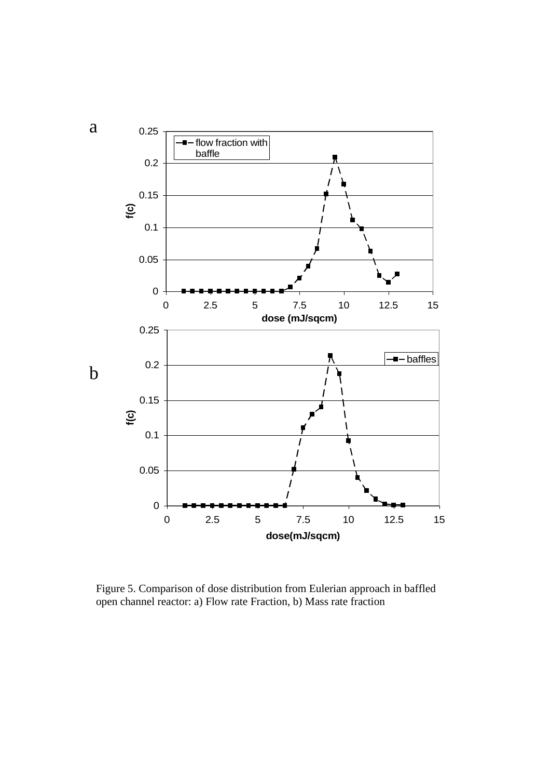

Figure 5. Comparison of dose distribution from Eulerian approach in baffled open channel reactor: a) Flow rate Fraction, b) Mass rate fraction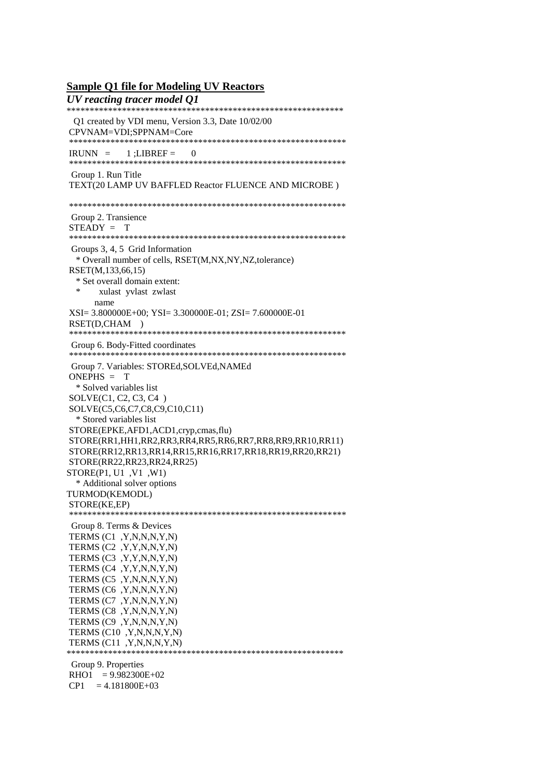#### **Sample Q1 file for Modeling UV Reactors**

*UV reacting tracer model Q1* \*\*\*\*\*\*\*\*\*\*\*\*\*\*\*\*\*\*\*\*\*\*\*\*\*\*\*\*\*\*\*\*\*\*\*\*\*\*\*\*\*\*\*\*\*\*\*\*\*\*\*\*\*\*\*\*\*\*\*\* Q1 created by VDI menu, Version 3.3, Date 10/02/00 CPVNAM=VDI;SPPNAM=Core \*\*\*\*\*\*\*\*\*\*\*\*\*\*\*\*\*\*\*\*\*\*\*\*\*\*\*\*\*\*\*\*\*\*\*\*\*\*\*\*\*\*\*\*\*\*\*\*\*\*\*\*\*\*\*\*\*\*\*\*  $IRUNN = 1: LIBREF = 0$ \*\*\*\*\*\*\*\*\*\*\*\*\*\*\*\*\*\*\*\*\*\*\*\*\*\*\*\*\*\*\*\*\*\*\*\*\*\*\*\*\*\*\*\*\*\*\*\*\*\*\*\*\*\*\*\*\*\*\*\* Group 1. Run Title TEXT(20 LAMP UV BAFFLED Reactor FLUENCE AND MICROBE ) \*\*\*\*\*\*\*\*\*\*\*\*\*\*\*\*\*\*\*\*\*\*\*\*\*\*\*\*\*\*\*\*\*\*\*\*\*\*\*\*\*\*\*\*\*\*\*\*\*\*\*\*\*\*\*\*\*\*\*\* Group 2. Transience STEADY = T \*\*\*\*\*\*\*\*\*\*\*\*\*\*\*\*\*\*\*\*\*\*\*\*\*\*\*\*\*\*\*\*\*\*\*\*\*\*\*\*\*\*\*\*\*\*\*\*\*\*\*\*\*\*\*\*\*\*\*\* Groups 3, 4, 5 Grid Information \* Overall number of cells, RSET(M,NX,NY,NZ,tolerance) RSET(M,133,66,15) \* Set overall domain extent: xulast yvlast zwlast name XSI= 3.800000E+00; YSI= 3.300000E-01; ZSI= 7.600000E-01 RSET(D,CHAM ) \*\*\*\*\*\*\*\*\*\*\*\*\*\*\*\*\*\*\*\*\*\*\*\*\*\*\*\*\*\*\*\*\*\*\*\*\*\*\*\*\*\*\*\*\*\*\*\*\*\*\*\*\*\*\*\*\*\*\*\* Group 6. Body-Fitted coordinates \*\*\*\*\*\*\*\*\*\*\*\*\*\*\*\*\*\*\*\*\*\*\*\*\*\*\*\*\*\*\*\*\*\*\*\*\*\*\*\*\*\*\*\*\*\*\*\*\*\*\*\*\*\*\*\*\*\*\*\* Group 7. Variables: STOREd,SOLVEd,NAMEd ONEPHS = T \* Solved variables list SOLVE(C1, C2, C3, C4 ) SOLVE(C5,C6,C7,C8,C9,C10,C11) \* Stored variables list STORE(EPKE,AFD1,ACD1,cryp,cmas,flu) STORE(RR1,HH1,RR2,RR3,RR4,RR5,RR6,RR7,RR8,RR9,RR10,RR11) STORE(RR12,RR13,RR14,RR15,RR16,RR17,RR18,RR19,RR20,RR21) STORE(RR22,RR23,RR24,RR25) STORE(P1, U1 ,V1 ,W1) \* Additional solver options TURMOD(KEMODL) STORE(KE,EP) \*\*\*\*\*\*\*\*\*\*\*\*\*\*\*\*\*\*\*\*\*\*\*\*\*\*\*\*\*\*\*\*\*\*\*\*\*\*\*\*\*\*\*\*\*\*\*\*\*\*\*\*\*\*\*\*\*\*\*\* Group 8. Terms & Devices TERMS (C1 ,Y,N,N,N,Y,N) TERMS (C2 ,Y,Y,N,N,Y,N) TERMS (C3 ,Y,Y,N,N,Y,N) TERMS (C4 ,Y,Y,N,N,Y,N) TERMS (C5 ,Y,N,N,N,Y,N) TERMS (C6 ,Y,N,N,N,Y,N) TERMS (C7 ,Y,N,N,N,Y,N) TERMS (C8 ,Y,N,N,N,Y,N) TERMS (C9 ,Y,N,N,N,Y,N) TERMS (C10 ,Y,N,N,N,Y,N) TERMS  $(C11, Y, N, N, N, Y, N)$ \*\*\*\*\*\*\*\*\*\*\*\*\*\*\*\*\*\*\*\*\*\*\*\*\*\*\*\*\*\*\*\*\*\*\*\*\*\*\*\*\*\*\*\*\*\*\*\*\*\*\*\*\*\*\*\*\*\*\*\* Group 9. Properties  $RHO1 = 9.982300E+02$  $CP1 = 4.181800E+03$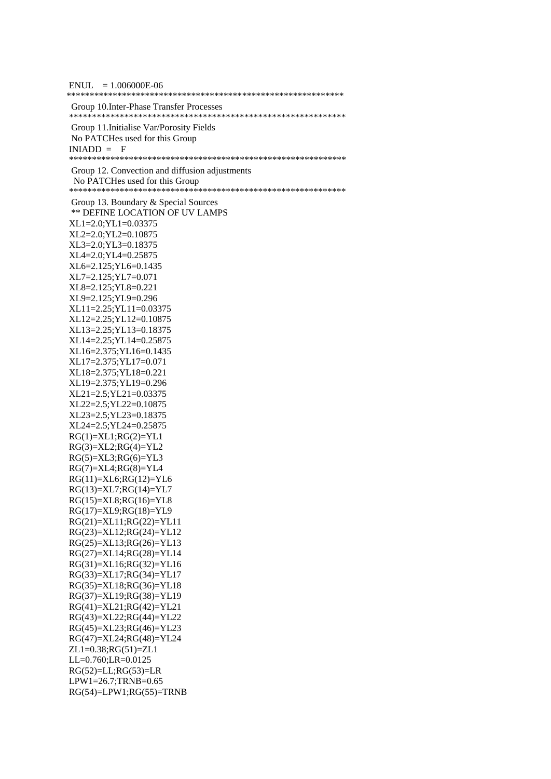| $ENUL = 1.006000E-06$                            |
|--------------------------------------------------|
| Group 10. Inter-Phase Transfer Processes         |
| Group 11. Initialise Var/Porosity Fields         |
| No PATCHes used for this Group                   |
| $INIADD = F$                                     |
|                                                  |
| Group 12. Convection and diffusion adjustments   |
| No PATCHes used for this Group                   |
|                                                  |
| Group 13. Boundary & Special Sources             |
| <b>** DEFINE LOCATION OF UV LAMPS</b>            |
| $XL1=2.0; YL1=0.03375$                           |
| XL2=2.0; YL2=0.10875                             |
| XL3=2.0; YL3=0.18375                             |
| XL4=2.0; YL4=0.25875                             |
| XL6=2.125;YL6=0.1435                             |
| XL7=2.125; YL7=0.071                             |
| XL8=2.125; YL8=0.221<br>XL9=2.125;YL9=0.296      |
| XL11=2.25; YL11=0.03375                          |
| XL12=2.25; YL12=0.10875                          |
| XL13=2.25; YL13=0.18375                          |
| XL14=2.25; YL14=0.25875                          |
| XL16=2.375; YL16=0.1435                          |
| XL17=2.375;YL17=0.071                            |
| XL18=2.375;YL18=0.221                            |
| XL19=2.375;YL19=0.296                            |
| XL21=2.5; YL21=0.03375                           |
| XL22=2.5; YL22=0.10875                           |
| XL23=2.5; YL23=0.18375                           |
| XL24=2.5; YL24=0.25875                           |
| $RG(1)=XL1;RG(2)=YL1$                            |
| $RG(3)=XL2;RG(4)=YL2$                            |
| $RG(5)=XL3;RG(6)=YL3$                            |
| $RG(7)=XL4;RG(8)=YL4$                            |
| $RG(11)=XL6;RG(12)=YL6$                          |
| $RG(13)=XL7;RG(14)=YL7$                          |
| $RG(15)=XLS;RG(16)=YLS$<br>RG(17)=XL9;RG(18)=YL9 |
| RG(21)=XL11;RG(22)=YL11                          |
| $RG(23)=XL12;RG(24)=YL12$                        |
| RG(25)=XL13;RG(26)=YL13                          |
| RG(27)=XL14;RG(28)=YL14                          |
| RG(31)=XL16;RG(32)=YL16                          |
| $RG(33)=XL17;RG(34)=YL17$                        |
| RG(35)=XL18;RG(36)=YL18                          |
| $RG(37)=XL19;RG(38)=YL19$                        |
| $RG(41)=XL21;RG(42)=YL21$                        |
| RG(43)=XL22;RG(44)=YL22                          |
| RG(45)=XL23;RG(46)=YL23                          |
| RG(47)=XL24;RG(48)=YL24                          |
| $ZL1=0.38;RG(51)=ZL1$                            |
| LL=0.760;LR=0.0125                               |
| $RG(52)=LL;RG(53)=LR$                            |
| LPW1=26.7;TRNB=0.65                              |
| $RG(54)=LPW1;RG(55)=TRNB$                        |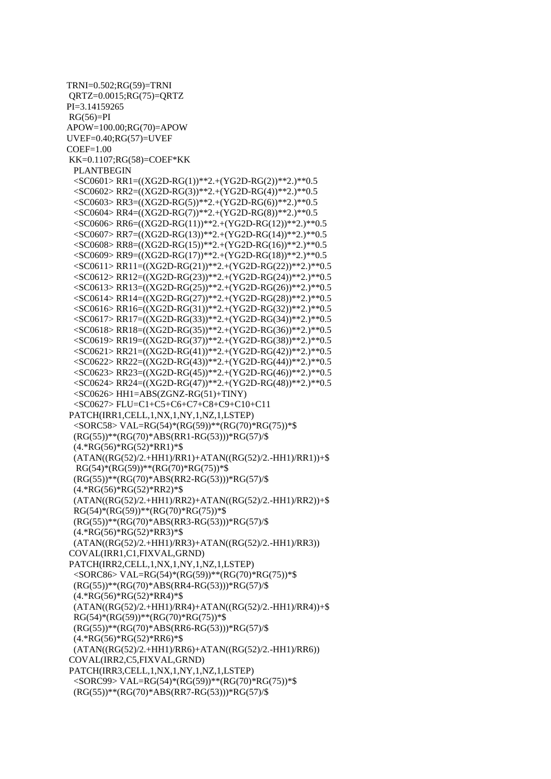TRNI=0.502;RG(59)=TRNI QRTZ=0.0015;RG(75)=QRTZ PI=3.14159265  $RG(56)=PI$ APOW=100.00;RG(70)=APOW UVEF=0.40;RG(57)=UVEF  $COEF=1.00$ KK=0.1107;RG(58)=COEF\*KK PLANTBEGIN <SC0601> RR1=((XG2D-RG(1))\*\*2.+(YG2D-RG(2))\*\*2.)\*\*0.5 <SC0602> RR2=((XG2D-RG(3))\*\*2.+(YG2D-RG(4))\*\*2.)\*\*0.5 <SC0603> RR3=((XG2D-RG(5))\*\*2.+(YG2D-RG(6))\*\*2.)\*\*0.5 <SC0604> RR4=((XG2D-RG(7))\*\*2.+(YG2D-RG(8))\*\*2.)\*\*0.5 <SC0606> RR6=((XG2D-RG(11))\*\*2.+(YG2D-RG(12))\*\*2.)\*\*0.5 <SC0607> RR7=((XG2D-RG(13))\*\*2.+(YG2D-RG(14))\*\*2.)\*\*0.5 <SC0608> RR8=((XG2D-RG(15))\*\*2.+(YG2D-RG(16))\*\*2.)\*\*0.5 <SC0609> RR9=((XG2D-RG(17))\*\*2.+(YG2D-RG(18))\*\*2.)\*\*0.5 <SC0611> RR11=((XG2D-RG(21))\*\*2.+(YG2D-RG(22))\*\*2.)\*\*0.5 <SC0612> RR12=((XG2D-RG(23))\*\*2.+(YG2D-RG(24))\*\*2.)\*\*0.5 <SC0613> RR13=((XG2D-RG(25))\*\*2.+(YG2D-RG(26))\*\*2.)\*\*0.5 <SC0614> RR14=((XG2D-RG(27))\*\*2.+(YG2D-RG(28))\*\*2.)\*\*0.5 <SC0616> RR16=((XG2D-RG(31))\*\*2.+(YG2D-RG(32))\*\*2.)\*\*0.5 <SC0617> RR17=((XG2D-RG(33))\*\*2.+(YG2D-RG(34))\*\*2.)\*\*0.5 <SC0618> RR18=((XG2D-RG(35))\*\*2.+(YG2D-RG(36))\*\*2.)\*\*0.5 <SC0619> RR19=((XG2D-RG(37))\*\*2.+(YG2D-RG(38))\*\*2.)\*\*0.5  $<$ SC0621> RR21=((XG2D-RG(41))\*\*2.+(YG2D-RG(42))\*\*2.)\*\*0.5 <SC0622> RR22=((XG2D-RG(43))\*\*2.+(YG2D-RG(44))\*\*2.)\*\*0.5 <SC0623> RR23=((XG2D-RG(45))\*\*2.+(YG2D-RG(46))\*\*2.)\*\*0.5 <SC0624> RR24=((XG2D-RG(47))\*\*2.+(YG2D-RG(48))\*\*2.)\*\*0.5  $<$ SC0626> HH1=ABS(ZGNZ-RG(51)+TINY) <SC0627> FLU=C1+C5+C6+C7+C8+C9+C10+C11 PATCH(IRR1,CELL,1,NX,1,NY,1,NZ,1,LSTEP) <SORC58> VAL=RG(54)\*(RG(59))\*\*(RG(70)\*RG(75))\*\$ (RG(55))\*\*(RG(70)\*ABS(RR1-RG(53)))\*RG(57)/\$ (4.\*RG(56)\*RG(52)\*RR1)\*\$ (ATAN((RG(52)/2.+HH1)/RR1)+ATAN((RG(52)/2.-HH1)/RR1))+\$ RG(54)\*(RG(59))\*\*(RG(70)\*RG(75))\*\$ (RG(55))\*\*(RG(70)\*ABS(RR2-RG(53)))\*RG(57)/\$ (4.\*RG(56)\*RG(52)\*RR2)\*\$ (ATAN((RG(52)/2.+HH1)/RR2)+ATAN((RG(52)/2.-HH1)/RR2))+\$ RG(54)\*(RG(59))\*\*(RG(70)\*RG(75))\*\$ (RG(55))\*\*(RG(70)\*ABS(RR3-RG(53)))\*RG(57)/\$ (4.\*RG(56)\*RG(52)\*RR3)\*\$ (ATAN((RG(52)/2.+HH1)/RR3)+ATAN((RG(52)/2.-HH1)/RR3)) COVAL(IRR1,C1,FIXVAL,GRND) PATCH(IRR2,CELL,1,NX,1,NY,1,NZ,1,LSTEP) <SORC86> VAL=RG(54)\*(RG(59))\*\*(RG(70)\*RG(75))\*\$ (RG(55))\*\*(RG(70)\*ABS(RR4-RG(53)))\*RG(57)/\$ (4.\*RG(56)\*RG(52)\*RR4)\*\$ (ATAN((RG(52)/2.+HH1)/RR4)+ATAN((RG(52)/2.-HH1)/RR4))+\$ RG(54)\*(RG(59))\*\*(RG(70)\*RG(75))\*\$ (RG(55))\*\*(RG(70)\*ABS(RR6-RG(53)))\*RG(57)/\$ (4.\*RG(56)\*RG(52)\*RR6)\*\$ (ATAN((RG(52)/2.+HH1)/RR6)+ATAN((RG(52)/2.-HH1)/RR6)) COVAL(IRR2,C5,FIXVAL,GRND) PATCH(IRR3,CELL,1,NX,1,NY,1,NZ,1,LSTEP) <SORC99> VAL=RG(54)\*(RG(59))\*\*(RG(70)\*RG(75))\*\$ (RG(55))\*\*(RG(70)\*ABS(RR7-RG(53)))\*RG(57)/\$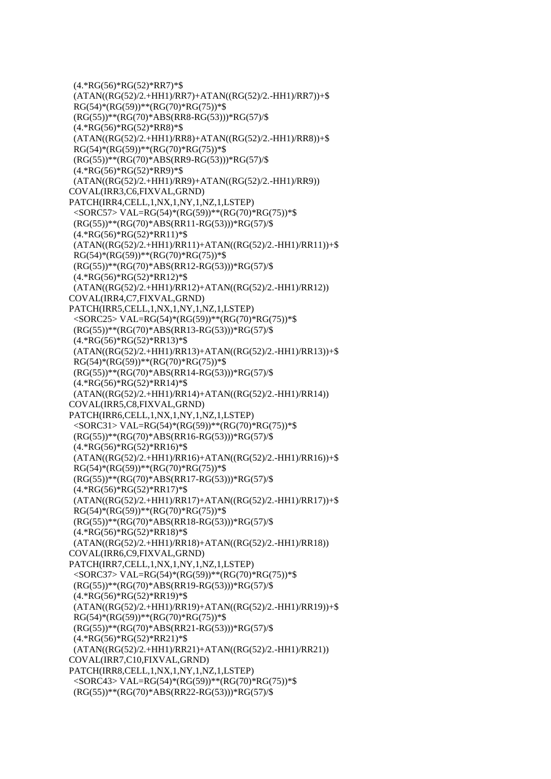(4.\*RG(56)\*RG(52)\*RR7)\*\$  $(ATAN((RG(52)/2.+HH1)/RR7)+ATAN((RG(52)/2.-HH1)/RR7))+$ \$  $RG(54)*(RG(59))**(RG(70)*RG(75))*\$$  (RG(55))\*\*(RG(70)\*ABS(RR8-RG(53)))\*RG(57)/\$ (4.\*RG(56)\*RG(52)\*RR8)\*\$  $(ATAN((RG(52)/2.+HH1)/RR8)+ATAN((RG(52)/2.-HH1)/RR8))+\$$  $RG(54)*(RG(59))**(RG(70)*RG(75))*$  (RG(55))\*\*(RG(70)\*ABS(RR9-RG(53)))\*RG(57)/\$ (4.\*RG(56)\*RG(52)\*RR9)\*\$ (ATAN((RG(52)/2.+HH1)/RR9)+ATAN((RG(52)/2.-HH1)/RR9)) COVAL(IRR3,C6,FIXVAL,GRND) PATCH(IRR4,CELL,1,NX,1,NY,1,NZ,1,LSTEP) <SORC57> VAL=RG(54)\*(RG(59))\*\*(RG(70)\*RG(75))\*\$ (RG(55))\*\*(RG(70)\*ABS(RR11-RG(53)))\*RG(57)/\$ (4.\*RG(56)\*RG(52)\*RR11)\*\$  $(ATAN((RG(52)/2.+HH1)/RR11)+ATAN((RG(52)/2.-HH1)/RR11))+$ \$ RG(54)\*(RG(59))\*\*(RG(70)\*RG(75))\*\$ (RG(55))\*\*(RG(70)\*ABS(RR12-RG(53)))\*RG(57)/\$ (4.\*RG(56)\*RG(52)\*RR12)\*\$ (ATAN((RG(52)/2.+HH1)/RR12)+ATAN((RG(52)/2.-HH1)/RR12)) COVAL(IRR4,C7,FIXVAL,GRND) PATCH(IRR5,CELL,1,NX,1,NY,1,NZ,1,LSTEP) <SORC25> VAL=RG(54)\*(RG(59))\*\*(RG(70)\*RG(75))\*\$ (RG(55))\*\*(RG(70)\*ABS(RR13-RG(53)))\*RG(57)/\$ (4.\*RG(56)\*RG(52)\*RR13)\*\$ (ATAN((RG(52)/2.+HH1)/RR13)+ATAN((RG(52)/2.-HH1)/RR13))+\$  $RG(54)*(RG(59))**(RG(70)*RG(75))*$  (RG(55))\*\*(RG(70)\*ABS(RR14-RG(53)))\*RG(57)/\$ (4.\*RG(56)\*RG(52)\*RR14)\*\$ (ATAN((RG(52)/2.+HH1)/RR14)+ATAN((RG(52)/2.-HH1)/RR14)) COVAL(IRR5,C8,FIXVAL,GRND) PATCH(IRR6,CELL,1,NX,1,NY,1,NZ,1,LSTEP) <SORC31> VAL=RG(54)\*(RG(59))\*\*(RG(70)\*RG(75))\*\$ (RG(55))\*\*(RG(70)\*ABS(RR16-RG(53)))\*RG(57)/\$ (4.\*RG(56)\*RG(52)\*RR16)\*\$ (ATAN((RG(52)/2.+HH1)/RR16)+ATAN((RG(52)/2.-HH1)/RR16))+\$ RG(54)\*(RG(59))\*\*(RG(70)\*RG(75))\*\$ (RG(55))\*\*(RG(70)\*ABS(RR17-RG(53)))\*RG(57)/\$ (4.\*RG(56)\*RG(52)\*RR17)\*\$ (ATAN((RG(52)/2.+HH1)/RR17)+ATAN((RG(52)/2.-HH1)/RR17))+\$ RG(54)\*(RG(59))\*\*(RG(70)\*RG(75))\*\$ (RG(55))\*\*(RG(70)\*ABS(RR18-RG(53)))\*RG(57)/\$ (4.\*RG(56)\*RG(52)\*RR18)\*\$ (ATAN((RG(52)/2.+HH1)/RR18)+ATAN((RG(52)/2.-HH1)/RR18)) COVAL(IRR6,C9,FIXVAL,GRND) PATCH(IRR7,CELL,1,NX,1,NY,1,NZ,1,LSTEP) <SORC37> VAL=RG(54)\*(RG(59))\*\*(RG(70)\*RG(75))\*\$ (RG(55))\*\*(RG(70)\*ABS(RR19-RG(53)))\*RG(57)/\$ (4.\*RG(56)\*RG(52)\*RR19)\*\$ (ATAN((RG(52)/2.+HH1)/RR19)+ATAN((RG(52)/2.-HH1)/RR19))+\$ RG(54)\*(RG(59))\*\*(RG(70)\*RG(75))\*\$ (RG(55))\*\*(RG(70)\*ABS(RR21-RG(53)))\*RG(57)/\$ (4.\*RG(56)\*RG(52)\*RR21)\*\$ (ATAN((RG(52)/2.+HH1)/RR21)+ATAN((RG(52)/2.-HH1)/RR21)) COVAL(IRR7,C10,FIXVAL,GRND) PATCH(IRR8,CELL,1,NX,1,NY,1,NZ,1,LSTEP) <SORC43> VAL=RG(54)\*(RG(59))\*\*(RG(70)\*RG(75))\*\$ (RG(55))\*\*(RG(70)\*ABS(RR22-RG(53)))\*RG(57)/\$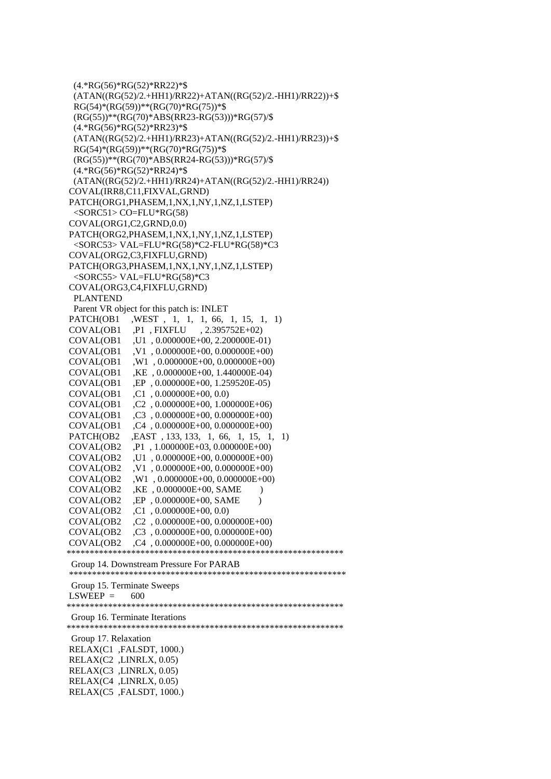(4.\*RG(56)\*RG(52)\*RR22)\*\$ (ATAN((RG(52)/2.+HH1)/RR22)+ATAN((RG(52)/2.-HH1)/RR22))+\$  $RG(54)*(RG(59))**(RG(70)*RG(75))*\$$  (RG(55))\*\*(RG(70)\*ABS(RR23-RG(53)))\*RG(57)/\$ (4.\*RG(56)\*RG(52)\*RR23)\*\$ (ATAN((RG(52)/2.+HH1)/RR23)+ATAN((RG(52)/2.-HH1)/RR23))+\$  $RG(54)*(RG(59))**(RG(70)*RG(75))*$  (RG(55))\*\*(RG(70)\*ABS(RR24-RG(53)))\*RG(57)/\$ (4.\*RG(56)\*RG(52)\*RR24)\*\$ (ATAN((RG(52)/2.+HH1)/RR24)+ATAN((RG(52)/2.-HH1)/RR24)) COVAL(IRR8,C11,FIXVAL,GRND) PATCH(ORG1,PHASEM,1,NX,1,NY,1,NZ,1,LSTEP)  $<$ SORC51 $>$ CO=FLU\*RG(58) COVAL(ORG1,C2,GRND,0.0) PATCH(ORG2,PHASEM,1,NX,1,NY,1,NZ,1,LSTEP) <SORC53> VAL=FLU\*RG(58)\*C2-FLU\*RG(58)\*C3 COVAL(ORG2,C3,FIXFLU,GRND) PATCH(ORG3,PHASEM,1,NX,1,NY,1,NZ,1,LSTEP) <SORC55> VAL=FLU\*RG(58)\*C3 COVAL(ORG3,C4,FIXFLU,GRND) PLANTEND Parent VR object for this patch is: INLET PATCH(OB1 ,WEST , 1, 1, 1, 66, 1, 15, 1, 1) COVAL(OB1 ,P1 , FIXFLU , 2.395752E+02) COVAL(OB1 ,U1 , 0.000000E+00, 2.200000E-01) COVAL(OB1, V1, 0.000000E+00, 0.000000E+00) COVAL(OB1 ,W1 , 0.000000E+00, 0.000000E+00) COVAL(OB1 ,KE , 0.000000E+00, 1.440000E-04) COVAL(OB1 ,EP , 0.000000E+00, 1.259520E-05) COVAL(OB1 ,C1 , 0.000000E+00, 0.0) COVAL(OB1 ,C2 , 0.000000E+00, 1.000000E+06) COVAL(OB1 ,C3 , 0.000000E+00, 0.000000E+00) COVAL(OB1 ,C4 , 0.000000E+00, 0.000000E+00) PATCH(OB2 ,EAST , 133, 133, 1, 66, 1, 15, 1, 1) COVAL(OB2 ,P1 , 1.000000E+03, 0.000000E+00) COVAL(OB2 ,U1 , 0.000000E+00, 0.000000E+00) COVAL(OB2 ,V1 , 0.000000E+00, 0.000000E+00) COVAL(OB2 ,W1 , 0.000000E+00, 0.000000E+00) COVAL(OB2 ,KE , 0.000000E+00, SAME ) COVAL(OB2 ,EP , 0.000000E+00, SAME ) COVAL(OB2 ,C1 , 0.000000E+00, 0.0) COVAL(OB2 ,C2 , 0.000000E+00, 0.000000E+00) COVAL(OB2 ,C3 , 0.000000E+00, 0.000000E+00) COVAL(OB2 ,C4 , 0.000000E+00, 0.000000E+00) \*\*\*\*\*\*\*\*\*\*\*\*\*\*\*\*\*\*\*\*\*\*\*\*\*\*\*\*\*\*\*\*\*\*\*\*\*\*\*\*\*\*\*\*\*\*\*\*\*\*\*\*\*\*\*\*\*\*\*\* Group 14. Downstream Pressure For PARAB \*\*\*\*\*\*\*\*\*\*\*\*\*\*\*\*\*\*\*\*\*\*\*\*\*\*\*\*\*\*\*\*\*\*\*\*\*\*\*\*\*\*\*\*\*\*\*\*\*\*\*\*\*\*\*\*\*\*\*\* Group 15. Terminate Sweeps  $LSWEEP = 600$ \*\*\*\*\*\*\*\*\*\*\*\*\*\*\*\*\*\*\*\*\*\*\*\*\*\*\*\*\*\*\*\*\*\*\*\*\*\*\*\*\*\*\*\*\*\*\*\*\*\*\*\*\*\*\*\*\*\*\*\* Group 16. Terminate Iterations \*\*\*\*\*\*\*\*\*\*\*\*\*\*\*\*\*\*\*\*\*\*\*\*\*\*\*\*\*\*\*\*\*\*\*\*\*\*\*\*\*\*\*\*\*\*\*\*\*\*\*\*\*\*\*\*\*\*\*\* Group 17. Relaxation RELAX(C1 ,FALSDT, 1000.) RELAX(C2 ,LINRLX, 0.05) RELAX(C3 ,LINRLX, 0.05) RELAX(C4 ,LINRLX, 0.05) RELAX(C5 ,FALSDT, 1000.)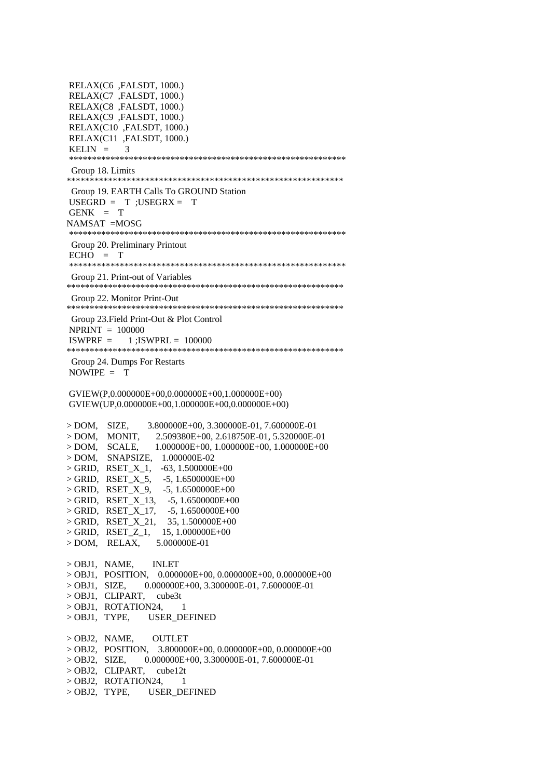RELAX(C6 ,FALSDT, 1000.) RELAX(C7 ,FALSDT, 1000.) RELAX(C8 ,FALSDT, 1000.) RELAX(C9 ,FALSDT, 1000.) RELAX(C10 ,FALSDT, 1000.) RELAX(C11 ,FALSDT, 1000.) KELIN  $=$  3 \*\*\*\*\*\*\*\*\*\*\*\*\*\*\*\*\*\*\*\*\*\*\*\*\*\*\*\*\*\*\*\*\*\*\*\*\*\*\*\*\*\*\*\*\*\*\*\*\*\*\*\*\*\*\*\*\*\*\*\* Group 18. Limits \*\*\*\*\*\*\*\*\*\*\*\*\*\*\*\*\*\*\*\*\*\*\*\*\*\*\*\*\*\*\*\*\*\*\*\*\*\*\*\*\*\*\*\*\*\*\*\*\*\*\*\*\*\*\*\*\*\*\*\* Group 19. EARTH Calls To GROUND Station  $USEGRD = T ; USEGRX = T$  $GENK = T$ NAMSAT =MOSG \*\*\*\*\*\*\*\*\*\*\*\*\*\*\*\*\*\*\*\*\*\*\*\*\*\*\*\*\*\*\*\*\*\*\*\*\*\*\*\*\*\*\*\*\*\*\*\*\*\*\*\*\*\*\*\*\*\*\*\* Group 20. Preliminary Printout  $ECHO = T$ \*\*\*\*\*\*\*\*\*\*\*\*\*\*\*\*\*\*\*\*\*\*\*\*\*\*\*\*\*\*\*\*\*\*\*\*\*\*\*\*\*\*\*\*\*\*\*\*\*\*\*\*\*\*\*\*\*\*\*\* Group 21. Print-out of Variables \*\*\*\*\*\*\*\*\*\*\*\*\*\*\*\*\*\*\*\*\*\*\*\*\*\*\*\*\*\*\*\*\*\*\*\*\*\*\*\*\*\*\*\*\*\*\*\*\*\*\*\*\*\*\*\*\*\*\*\* Group 22. Monitor Print-Out \*\*\*\*\*\*\*\*\*\*\*\*\*\*\*\*\*\*\*\*\*\*\*\*\*\*\*\*\*\*\*\*\*\*\*\*\*\*\*\*\*\*\*\*\*\*\*\*\*\*\*\*\*\*\*\*\*\*\*\* Group 23.Field Print-Out & Plot Control NPRINT = 100000  $ISWPRF = 1$ : $ISWPRL = 100000$ \*\*\*\*\*\*\*\*\*\*\*\*\*\*\*\*\*\*\*\*\*\*\*\*\*\*\*\*\*\*\*\*\*\*\*\*\*\*\*\*\*\*\*\*\*\*\*\*\*\*\*\*\*\*\*\*\*\*\*\* Group 24. Dumps For Restarts NOWIPE = T GVIEW(P,0.000000E+00,0.000000E+00,1.000000E+00) GVIEW(UP,0.000000E+00,1.000000E+00,0.000000E+00) > DOM, SIZE, 3.800000E+00, 3.300000E-01, 7.600000E-01 > DOM, MONIT, 2.509380E+00, 2.618750E-01, 5.320000E-01  $>$  DOM, SCALE, 1.000000E+00, 1.000000E+00, 1.000000E+00 > DOM, SNAPSIZE, 1.000000E-02 > GRID, RSET\_X\_1, -63, 1.500000E+00  $>$  GRID, RSET\_X\_5, -5, 1.6500000E+00  $>$  GRID, RSET\_X\_9, -5, 1.6500000E+00  $>$  GRID, RSET\_X\_13, -5, 1.6500000E+00  $>$  GRID, RSET\_X\_17, -5, 1.6500000E+00  $>$  GRID, RSET\_X\_21, 35, 1.500000E+00  $>$  GRID, RSET\_Z\_1, 15, 1.000000E+00 > DOM, RELAX, 5.000000E-01 > OBJ1, NAME, INLET  $>$  OBJ1, POSITION, 0.000000E+00, 0.000000E+00, 0.000000E+00 > OBJ1, SIZE, 0.000000E+00, 3.300000E-01, 7.600000E-01 > OBJ1, CLIPART, cube3t > OBJ1, ROTATION24, 1<br>> OBJ1, TYPE, USER DI USER DEFINED > OBJ2, NAME, OUTLET  $>$  OBJ2, POSITION, 3.800000E+00, 0.000000E+00, 0.000000E+00 > OBJ2, SIZE, 0.000000E+00, 3.300000E-01, 7.600000E-01 > OBJ2, CLIPART, cube12t  $>$  OBJ2, ROTATION24, 1 > OBJ2, TYPE, USER\_DEFINED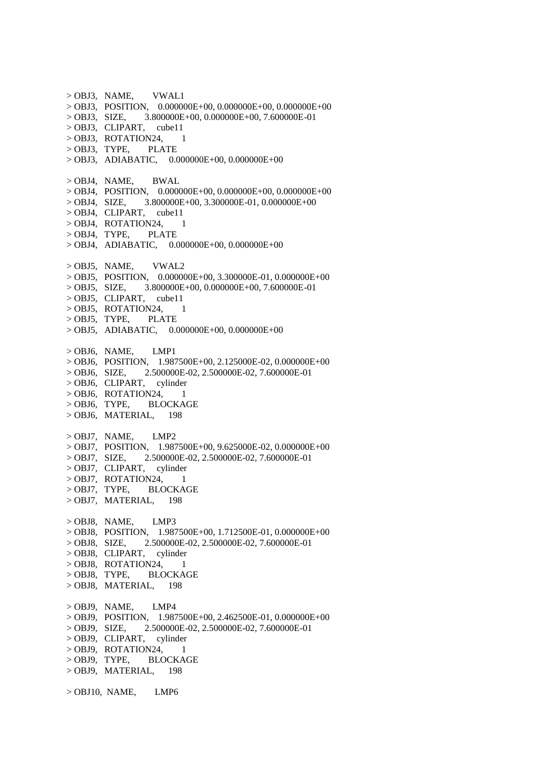> OBJ3, NAME, VWAL1  $>$  OBJ3, POSITION, 0.000000E+00, 0.000000E+00, 0.000000E+00  $>$  OBJ3, SIZE, 3.800000E+00, 0.000000E+00, 7.600000E-01 > OBJ3, CLIPART, cube11  $>$  OBJ3, ROTATION24, 1 > OBJ3, TYPE, PLATE  $>$  OBJ3, ADIABATIC, 0.000000E+00, 0.000000E+00 > OBJ4, NAME, BWAL  $>$  OBJ4, POSITION, 0.000000E+00, 0.000000E+00, 0.000000E+00  $>$  OBJ4, SIZE, 3.800000E+00, 3.300000E-01, 0.000000E+00 > OBJ4, CLIPART, cube11  $>$  OBJ4, ROTATION24, 1 > OBJ4, TYPE, PLATE  $>$  OBJ4, ADIABATIC, 0.000000E+00, 0.000000E+00 > OBJ5, NAME, VWAL2  $>$  OBJ5, POSITION, 0.000000E+00, 3.300000E-01, 0.000000E+00 > OBJ5, SIZE, 3.800000E+00, 0.000000E+00, 7.600000E-01 > OBJ5, CLIPART, cube11  $>$  OBJ5, ROTATION24, 1 > OBJ5, TYPE, PLATE  $>$  OBJ5, ADIABATIC, 0.000000E+00, 0.000000E+00  $>$  OBJ6, NAME, LMP1  $>$  OBJ6, POSITION, 1.987500E+00, 2.125000E-02, 0.000000E+00 > OBJ6, SIZE, 2.500000E-02, 2.500000E-02, 7.600000E-01 > OBJ6, CLIPART, cylinder  $>$  OBJ6, ROTATION24, 1 > OBJ6, TYPE, BLOCKAGE > OBJ6, MATERIAL, 198 > OBJ7, NAME, LMP2  $>$  OBJ7, POSITION, 1.987500E+00, 9.625000E-02, 0.000000E+00 > OBJ7, SIZE, 2.500000E-02, 2.500000E-02, 7.600000E-01 > OBJ7, CLIPART, cylinder  $>$  OBJ7, ROTATION24, 1 > OBJ7, TYPE, BLOCKAGE > OBJ7, MATERIAL, 198 > OBJ8, NAME, LMP3  $>$  OBJ8, POSITION, 1.987500E+00, 1.712500E-01, 0.000000E+00 > OBJ8, SIZE, 2.500000E-02, 2.500000E-02, 7.600000E-01 > OBJ8, CLIPART, cylinder  $>$  OBJ8, ROTATION24, 1 > OBJ8, TYPE, BLOCKAGE > OBJ8, MATERIAL, 198 > OBJ9, NAME, LMP4 > OBJ9, POSITION, 1.987500E+00, 2.462500E-01, 0.000000E+00 > OBJ9, SIZE, 2.500000E-02, 2.500000E-02, 7.600000E-01 > OBJ9, CLIPART, cylinder  $>$  OBJ9, ROTATION24, 1 > OBJ9, TYPE, BLOCKAGE > OBJ9, MATERIAL, 198  $>$  OBJ10, NAME, LMP6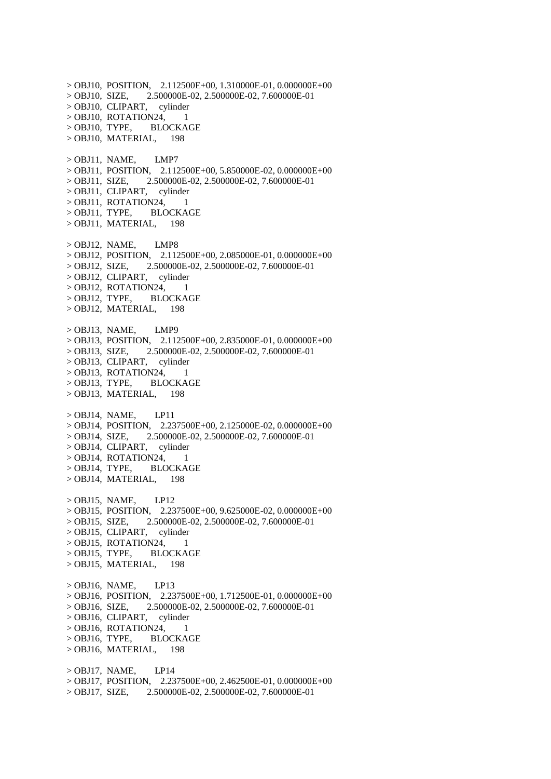$>$  OBJ10, POSITION, 2.112500E+00, 1.310000E-01, 0.000000E+00 > OBJ10, SIZE, 2.500000E-02, 2.500000E-02, 7.600000E-01 > OBJ10, CLIPART, cylinder > OBJ10, ROTATION24, 1<br>> OBJ10. TYPE, BLOCKAGE  $>$  OBJ10, TYPE, > OBJ10, MATERIAL, 198  $>$  OBJ11, NAME, LMP7 > OBJ11, POSITION, 2.112500E+00, 5.850000E-02, 0.000000E+00 > OBJ11, SIZE, 2.500000E-02, 2.500000E-02, 7.600000E-01 > OBJ11, CLIPART, cylinder  $>$  OBJ11, ROTATION24, 1 > OBJ11, TYPE, BLOCKAGE > OBJ11, MATERIAL, 198  $>$  OBJ12, NAME, LMP8  $>$  OBJ12, POSITION, 2.112500E+00, 2.085000E-01, 0.000000E+00 > OBJ12, SIZE, 2.500000E-02, 2.500000E-02, 7.600000E-01 > OBJ12, CLIPART, cylinder  $>$  OBJ12, ROTATION24, 1 > OBJ12, TYPE, BLOCKAGE  $>$  OBJ12, MATERIAL, 198  $>$  OBJ13, NAME, LMP9 > OBJ13, POSITION, 2.112500E+00, 2.835000E-01, 0.000000E+00 > OBJ13, SIZE, 2.500000E-02, 2.500000E-02, 7.600000E-01 > OBJ13, CLIPART, cylinder  $>$  OBJ13, ROTATION24, 1 > OBJ13, TYPE, BLOCKAGE > OBJ13, MATERIAL, 198  $>$  OBJ14, NAME, LP11 > OBJ14, POSITION, 2.237500E+00, 2.125000E-02, 0.000000E+00 > OBJ14, SIZE, 2.500000E-02, 2.500000E-02, 7.600000E-01 > OBJ14, CLIPART, cylinder  $>$  OBJ14, ROTATION24, 1 > OBJ14, TYPE, BLOCKAGE  $>$  OBJ14, MATERIAL, 198  $>$  OBJ15, NAME, LP12 > OBJ15, POSITION, 2.237500E+00, 9.625000E-02, 0.000000E+00 > OBJ15, SIZE, 2.500000E-02, 2.500000E-02, 7.600000E-01 > OBJ15, CLIPART, cylinder  $>$  OBJ15, ROTATION24, 1 > OBJ15, TYPE, BLOCKAGE  $>$  OBJ15, MATERIAL, 198  $>$  OBJ16, NAME, LP13 > OBJ16, POSITION, 2.237500E+00, 1.712500E-01, 0.000000E+00 > OBJ16, SIZE, 2.500000E-02, 2.500000E-02, 7.600000E-01 > OBJ16, CLIPART, cylinder  $>$  OBJ16, ROTATION24, 1 > OBJ16, TYPE, BLOCKAGE  $>$  OBJ16, MATERIAL, 198  $>$  OBJ17, NAME, LP14 > OBJ17, POSITION, 2.237500E+00, 2.462500E-01, 0.000000E+00 > OBJ17, SIZE, 2.500000E-02, 2.500000E-02, 7.600000E-01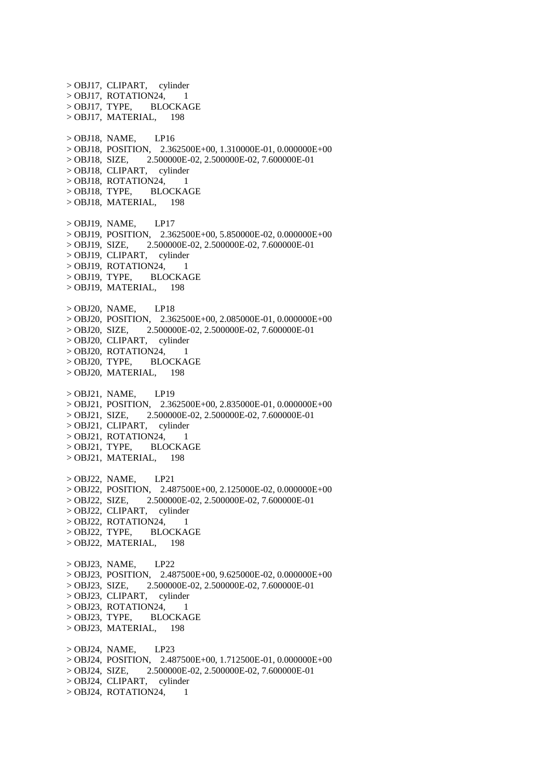> OBJ17, CLIPART, cylinder  $>$  OBJ17, ROTATION24, 1 > OBJ17, TYPE, BLOCKAGE  $>$  OBJ17, MATERIAL, 198  $>$  OBJ18, NAME, LP16 > OBJ18, POSITION, 2.362500E+00, 1.310000E-01, 0.000000E+00 > OBJ18, SIZE, 2.500000E-02, 2.500000E-02, 7.600000E-01 > OBJ18, CLIPART, cylinder  $>$  OBJ18, ROTATION24, 1 > OBJ18, TYPE, BLOCKAGE > OBJ18, MATERIAL, 198  $>$  OBJ19, NAME, LP17 > OBJ19, POSITION, 2.362500E+00, 5.850000E-02, 0.000000E+00 > OBJ19, SIZE, 2.500000E-02, 2.500000E-02, 7.600000E-01 > OBJ19, CLIPART, cylinder  $>$  OBJ19, ROTATION24, 1 > OBJ19, TYPE, BLOCKAGE > OBJ19, MATERIAL, 198  $>$  OBJ20, NAME, LP18 > OBJ20, POSITION, 2.362500E+00, 2.085000E-01, 0.000000E+00 > OBJ20, SIZE, 2.500000E-02, 2.500000E-02, 7.600000E-01 > OBJ20, CLIPART, cylinder  $>$  OBJ20, ROTATION24, 1 > OBJ20, TYPE, BLOCKAGE  $>$  OBJ20, MATERIAL, 198  $>$  OBJ21, NAME, LP19  $>$  OBJ21, POSITION, 2.362500E+00, 2.835000E-01, 0.000000E+00 > OBJ21, SIZE, 2.500000E-02, 2.500000E-02, 7.600000E-01 > OBJ21, CLIPART, cylinder  $>$  OBJ21, ROTATION24, 1 > OBJ21, TYPE, BLOCKAGE > OBJ21, MATERIAL, 198 > OBJ22, NAME, LP21 > OBJ22, POSITION, 2.487500E+00, 2.125000E-02, 0.000000E+00 > OBJ22, SIZE, 2.500000E-02, 2.500000E-02, 7.600000E-01 > OBJ22, CLIPART, cylinder  $>$  OBJ22, ROTATION24, > OBJ22, TYPE, BLOCKAGE > OBJ22, MATERIAL, 198  $>$  OBJ23, NAME, LP22 > OBJ23, POSITION, 2.487500E+00, 9.625000E-02, 0.000000E+00 > OBJ23, SIZE, 2.500000E-02, 2.500000E-02, 7.600000E-01 > OBJ23, CLIPART, cylinder  $>$  OBJ23, ROTATION24, 1 > OBJ23, TYPE, BLOCKAGE > OBJ23, MATERIAL, 198 > OBJ24, NAME, LP23 > OBJ24, POSITION, 2.487500E+00, 1.712500E-01, 0.000000E+00 > OBJ24, SIZE, 2.500000E-02, 2.500000E-02, 7.600000E-01 > OBJ24, CLIPART, cylinder  $>$  OBJ24, ROTATION24, 1